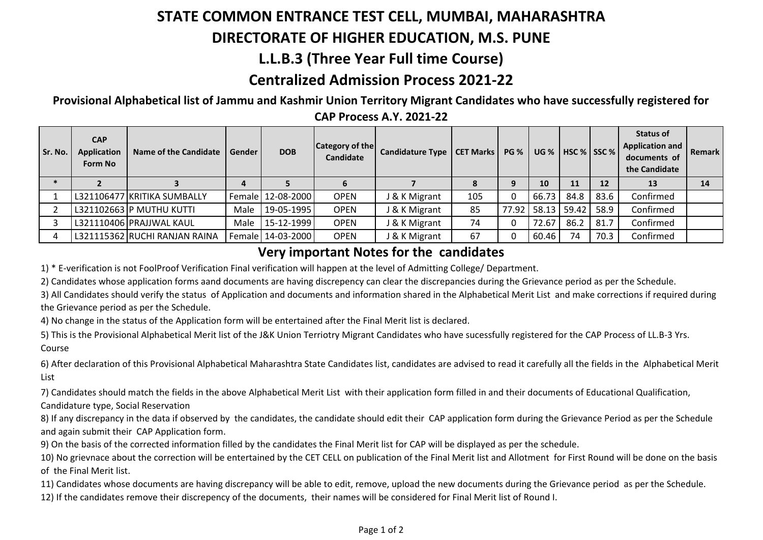# **STATE COMMON ENTRANCE TEST CELL, MUMBAI, MAHARASHTRA**

#### **DIRECTORATE OF HIGHER EDUCATION, M.S. PUNE**

# **L.L.B.3 (Three Year Full time Course)**

# **Centralized Admission Process 2021-22**

**Provisional Alphabetical list of Jammu and Kashmir Union Territory Migrant Candidates who have successfully registered for** 

| Sr. No. | <b>CAP</b><br><b>Application</b><br>Form No | Name of the Candidate         | Gender | <b>DOB</b>        | Category of the<br>Candidate | Candidature Type   CET Marks   PG % |     |       |       | UG %   HSC %   SSC % |      | Status of<br><b>Application and</b><br>documents of<br>the Candidate | Remark |
|---------|---------------------------------------------|-------------------------------|--------|-------------------|------------------------------|-------------------------------------|-----|-------|-------|----------------------|------|----------------------------------------------------------------------|--------|
|         |                                             |                               | 4      |                   |                              |                                     |     | 9     | 10    | 11                   | 12   | 13                                                                   | 14     |
|         |                                             | L321106477 KRITIKA SUMBALLY   |        | Female 12-08-2000 | <b>OPEN</b>                  | J & K Migrant                       | 105 | 0     | 66.73 | 84.8                 | 83.6 | Confirmed                                                            |        |
|         |                                             | L321102663 P MUTHU KUTTI      | Male   | 19-05-1995        | <b>OPEN</b>                  | J & K Migrant                       | 85  | 77.92 |       | 58.13 59.42          | 58.9 | Confirmed                                                            |        |
|         |                                             | L321110406 PRAJJWAL KAUL      | Male   | 15-12-1999        | <b>OPEN</b>                  | J & K Migrant                       | 74  | 0     | 72.67 | 86.2                 | 81.7 | Confirmed                                                            |        |
|         |                                             | L321115362 RUCHI RANJAN RAINA |        | Female 14-03-2000 | <b>OPEN</b>                  | J & K Migrant                       | 67  | 0     | 60.46 | 74                   | 70.3 | Confirmed                                                            |        |

**CAP Process A.Y. 2021-22**

#### **Very important Notes for the candidates**

1) \* E-verification is not FoolProof Verification Final verification will happen at the level of Admitting College/ Department.

2) Candidates whose application forms aand documents are having discrepency can clear the discrepancies during the Grievance period as per the Schedule.

3) All Candidates should verify the status of Application and documents and information shared in the Alphabetical Merit List and make corrections if required during the Grievance period as per the Schedule.

4) No change in the status of the Application form will be entertained after the Final Merit list is declared.

5) This is the Provisional Alphabetical Merit list of the J&K Union Terriotry Migrant Candidates who have sucessfully registered for the CAP Process of LL.B-3 Yrs. Course

6) After declaration of this Provisional Alphabetical Maharashtra State Candidates list, candidates are advised to read it carefully all the fields in the Alphabetical Merit List

7) Candidates should match the fields in the above Alphabetical Merit List with their application form filled in and their documents of Educational Qualification,

Candidature type, Social Reservation

8) If any discrepancy in the data if observed by the candidates, the candidate should edit their CAP application form during the Grievance Period as per the Schedule and again submit their CAP Application form.

9) On the basis of the corrected information filled by the candidates the Final Merit list for CAP will be displayed as per the schedule.

10) No grievnace about the correction will be entertained by the CET CELL on publication of the Final Merit list and Allotment for First Round will be done on the basis of the Final Merit list.

11) Candidates whose documents are having discrepancy will be able to edit, remove, upload the new documents during the Grievance period as per the Schedule. 12) If the candidates remove their discrepency of the documents, their names will be considered for Final Merit list of Round I.